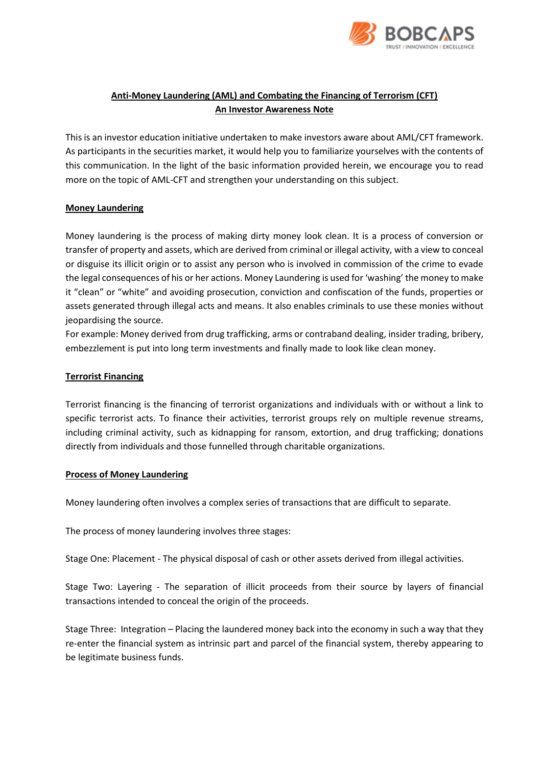

# **Anti-Money Laundering (AML) and Combating the Financing of Terrorism (CFT) An Investor Awareness Note**

This is an investor education initiative undertaken to make investors aware about AML/CFT framework. As participants in the securities market, it would help you to familiarize yourselves with the contents of this communication. In the light of the basic information provided herein, we encourage you to read more on the topic of AML-CFT and strengthen your understanding on this subject.

# **Money Laundering**

Money laundering is the process of making dirty money look clean. It is a process of conversion or transfer of property and assets, which are derived from criminal or illegal activity, with a view to conceal or disguise its illicit origin or to assist any person who is involved in commission of the crime to evade the legal consequences of his or her actions. Money Laundering is used for 'washing' the money to make it "clean" or "white" and avoiding prosecution, conviction and confiscation of the funds, properties or assets generated through illegal acts and means. It also enables criminals to use these monies without jeopardising the source.

For example: Money derived from drug trafficking, arms or contraband dealing, insider trading, bribery, embezzlement is put into long term investments and finally made to look like clean money.

## **Terrorist Financing**

Terrorist financing is the financing of terrorist organizations and individuals with or without a link to specific terrorist acts. To finance their activities, terrorist groups rely on multiple revenue streams, including criminal activity, such as kidnapping for ransom, extortion, and drug trafficking; donations directly from individuals and those funnelled through charitable organizations.

## **Process of Money Laundering**

Money laundering often involves a complex series of transactions that are difficult to separate.

The process of money laundering involves three stages:

Stage One: Placement - The physical disposal of cash or other assets derived from illegal activities.

Stage Two: Layering - The separation of illicit proceeds from their source by layers of financial transactions intended to conceal the origin of the proceeds.

Stage Three: Integration – Placing the laundered money back into the economy in such a way that they re-enter the financial system as intrinsic part and parcel of the financial system, thereby appearing to be legitimate business funds.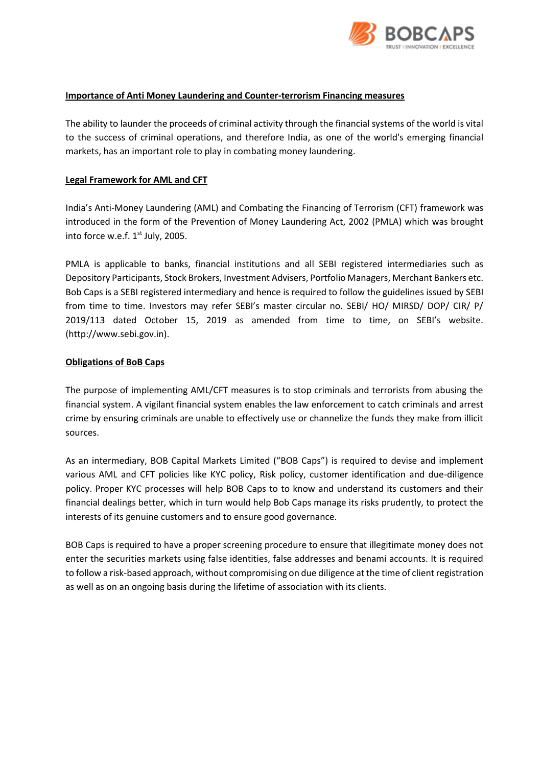

#### **Importance of Anti Money Laundering and Counter-terrorism Financing measures**

The ability to launder the proceeds of criminal activity through the financial systems of the world is vital to the success of criminal operations, and therefore India, as one of the world's emerging financial markets, has an important role to play in combating money laundering.

### **Legal Framework for AML and CFT**

India's Anti-Money Laundering (AML) and Combating the Financing of Terrorism (CFT) framework was introduced in the form of the Prevention of Money Laundering Act, 2002 (PMLA) which was brought into force w.e.f. 1<sup>st</sup> July, 2005.

PMLA is applicable to banks, financial institutions and all SEBI registered intermediaries such as Depository Participants, Stock Brokers, Investment Advisers, Portfolio Managers, Merchant Bankers etc. Bob Caps is a SEBI registered intermediary and hence is required to follow the guidelines issued by SEBI from time to time. Investors may refer SEBI's master circular no. SEBI/ HO/ MIRSD/ DOP/ CIR/ P/ 2019/113 dated October 15, 2019 as amended from time to time, on SEBI's website. (http://www.sebi.gov.in).

#### **Obligations of BoB Caps**

The purpose of implementing AML/CFT measures is to stop criminals and terrorists from abusing the financial system. A vigilant financial system enables the law enforcement to catch criminals and arrest crime by ensuring criminals are unable to effectively use or channelize the funds they make from illicit sources.

As an intermediary, BOB Capital Markets Limited ("BOB Caps") is required to devise and implement various AML and CFT policies like KYC policy, Risk policy, customer identification and due-diligence policy. Proper KYC processes will help BOB Caps to to know and understand its customers and their financial dealings better, which in turn would help Bob Caps manage its risks prudently, to protect the interests of its genuine customers and to ensure good governance.

BOB Caps is required to have a proper screening procedure to ensure that illegitimate money does not enter the securities markets using false identities, false addresses and benami accounts. It is required to follow a risk-based approach, without compromising on due diligence at the time of client registration as well as on an ongoing basis during the lifetime of association with its clients.